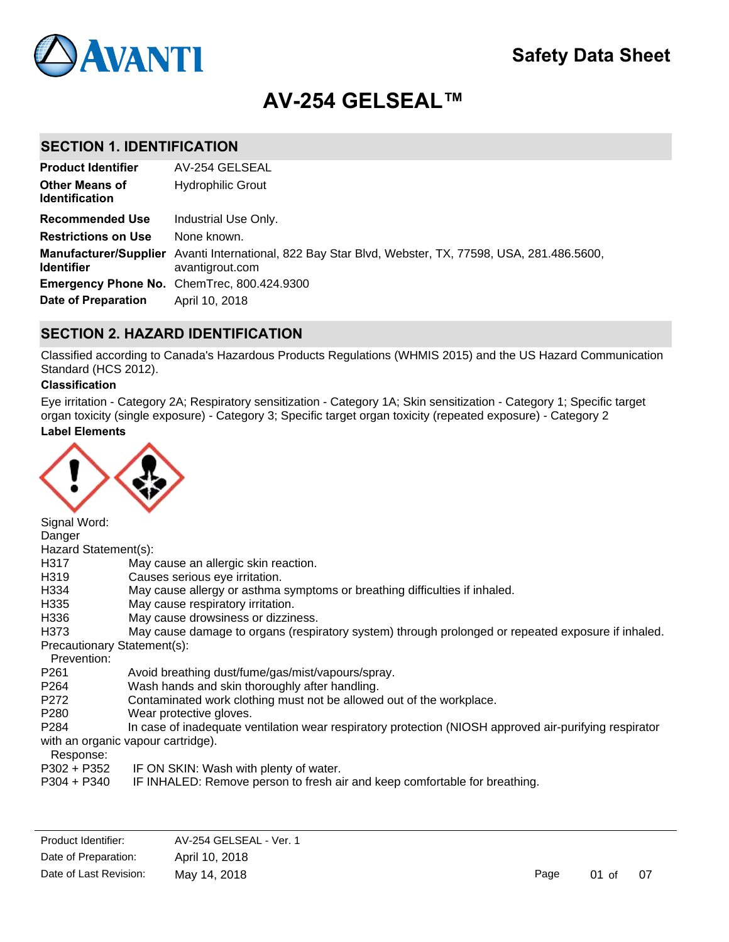

# **AV-254 GELSEAL™**

## **SECTION 1. IDENTIFICATION**

| <b>Product Identifier</b>                      | AV-254 GELSEAL                                                                                                           |
|------------------------------------------------|--------------------------------------------------------------------------------------------------------------------------|
| <b>Other Means of</b><br><b>Identification</b> | <b>Hydrophilic Grout</b>                                                                                                 |
| <b>Recommended Use</b>                         | Industrial Use Only.                                                                                                     |
| <b>Restrictions on Use</b>                     | None known.                                                                                                              |
| <b>Identifier</b>                              | Manufacturer/Supplier Avanti International, 822 Bay Star Blvd, Webster, TX, 77598, USA, 281.486.5600,<br>avantigrout.com |
|                                                | Emergency Phone No. ChemTrec, 800.424.9300                                                                               |
| <b>Date of Preparation</b>                     | April 10, 2018                                                                                                           |

## **SECTION 2. HAZARD IDENTIFICATION**

Classified according to Canada's Hazardous Products Regulations (WHMIS 2015) and the US Hazard Communication Standard (HCS 2012).

#### **Classification**

**Label Elements** Eye irritation - Category 2A; Respiratory sensitization - Category 1A; Skin sensitization - Category 1; Specific target organ toxicity (single exposure) - Category 3; Specific target organ toxicity (repeated exposure) - Category 2



Signal Word: Danger Hazard Statement(s): H317 May cause an allergic skin reaction. H319 Causes serious eye irritation. H334 May cause allergy or asthma symptoms or breathing difficulties if inhaled. H335 May cause respiratory irritation. H336 May cause drowsiness or dizziness. H373 May cause damage to organs (respiratory system) through prolonged or repeated exposure if inhaled. Precautionary Statement(s): Prevention: P261 Avoid breathing dust/fume/gas/mist/vapours/spray.<br>P264 Wash hands and skin thoroughly after handling. Wash hands and skin thoroughly after handling. P272 Contaminated work clothing must not be allowed out of the workplace. P280 Wear protective gloves. P284 In case of inadequate ventilation wear respiratory protection (NIOSH approved air-purifying respirator with an organic vapour cartridge). Response: P302 + P352 IF ON SKIN: Wash with plenty of water.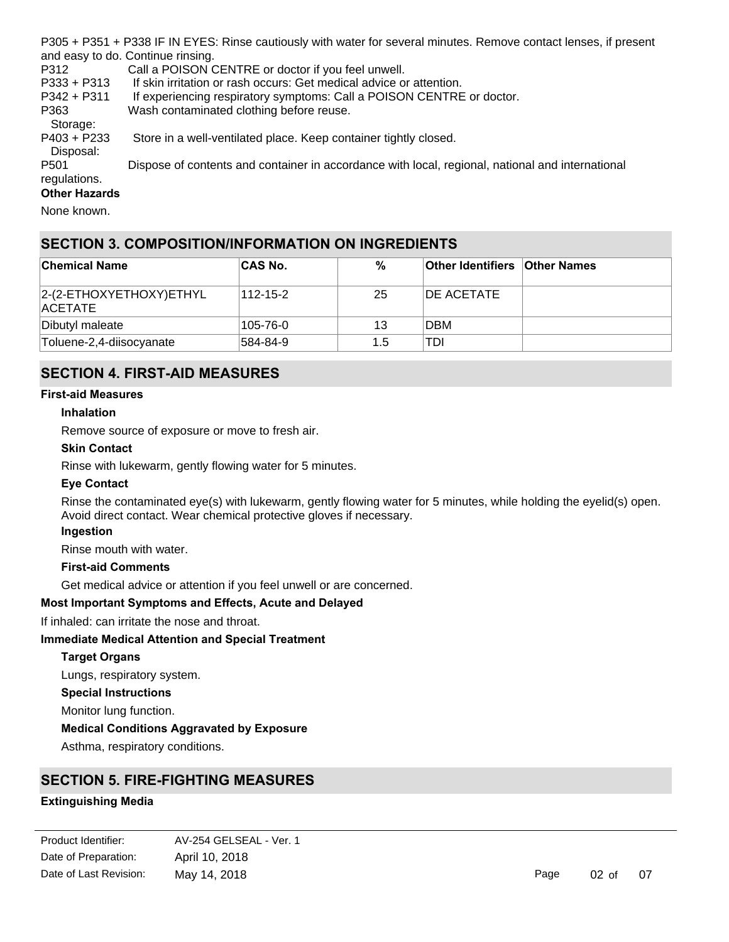P305 + P351 + P338 IF IN EYES: Rinse cautiously with water for several minutes. Remove contact lenses, if present and easy to do. Continue rinsing.

P312 Call a POISON CENTRE or doctor if you feel unwell.

P333 + P313 If skin irritation or rash occurs: Get medical advice or attention.

P342 + P311 If experiencing respiratory symptoms: Call a POISON CENTRE or doctor.

P363 Wash contaminated clothing before reuse.

Storage:

P403 + P233 Store in a well-ventilated place. Keep container tightly closed.

 Disposal: P501 Dispose of contents and container in accordance with local, regional, national and international regulations.

#### **Other Hazards**

None known.

## **SECTION 3. COMPOSITION/INFORMATION ON INGREDIENTS**

| <b>Chemical Name</b>                       | <b>CAS No.</b> | %   | <b>Other Identifiers Other Names</b> |  |
|--------------------------------------------|----------------|-----|--------------------------------------|--|
| 2-(2-ETHOXYETHOXY) ETHYL<br><b>ACETATE</b> | 112-15-2       | 25  | <b>IDE ACETATE</b>                   |  |
| Dibutyl maleate                            | 105-76-0       | 13  | <b>DBM</b>                           |  |
| Toluene-2,4-diisocyanate                   | 584-84-9       | 1.5 | TDI                                  |  |

## **SECTION 4. FIRST-AID MEASURES**

#### **First-aid Measures**

#### **Inhalation**

Remove source of exposure or move to fresh air.

#### **Skin Contact**

Rinse with lukewarm, gently flowing water for 5 minutes.

#### **Eye Contact**

Rinse the contaminated eye(s) with lukewarm, gently flowing water for 5 minutes, while holding the eyelid(s) open. Avoid direct contact. Wear chemical protective gloves if necessary.

#### **Ingestion**

Rinse mouth with water.

#### **First-aid Comments**

Get medical advice or attention if you feel unwell or are concerned.

#### **Most Important Symptoms and Effects, Acute and Delayed**

If inhaled: can irritate the nose and throat.

#### **Immediate Medical Attention and Special Treatment**

#### **Target Organs**

Lungs, respiratory system.

**Special Instructions**

Monitor lung function.

#### **Medical Conditions Aggravated by Exposure**

Asthma, respiratory conditions.

## **SECTION 5. FIRE-FIGHTING MEASURES**

### **Extinguishing Media**

| Product Identifier:    | AV-254 GELSEAL - Ver. 1 |
|------------------------|-------------------------|
| Date of Preparation:   | April 10, 2018          |
| Date of Last Revision: | May 14, 2018            |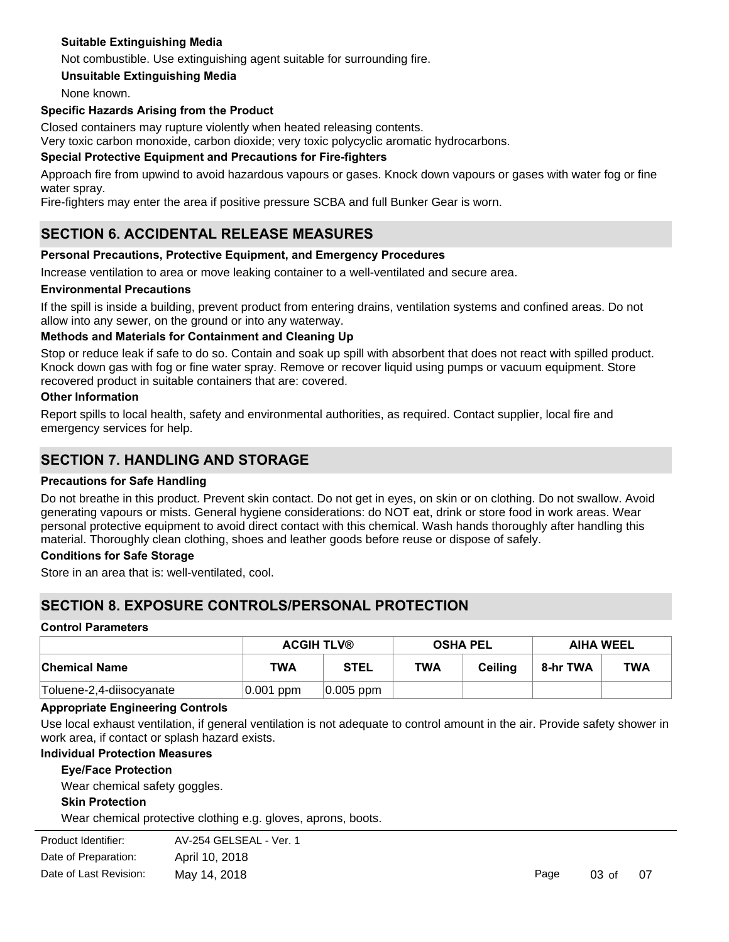### **Suitable Extinguishing Media**

Not combustible. Use extinguishing agent suitable for surrounding fire.

**Unsuitable Extinguishing Media**

None known.

#### **Specific Hazards Arising from the Product**

Closed containers may rupture violently when heated releasing contents.

Very toxic carbon monoxide, carbon dioxide; very toxic polycyclic aromatic hydrocarbons.

#### **Special Protective Equipment and Precautions for Fire-fighters**

Approach fire from upwind to avoid hazardous vapours or gases. Knock down vapours or gases with water fog or fine water spray.

Fire-fighters may enter the area if positive pressure SCBA and full Bunker Gear is worn.

## **SECTION 6. ACCIDENTAL RELEASE MEASURES**

#### **Personal Precautions, Protective Equipment, and Emergency Procedures**

Increase ventilation to area or move leaking container to a well-ventilated and secure area.

#### **Environmental Precautions**

If the spill is inside a building, prevent product from entering drains, ventilation systems and confined areas. Do not allow into any sewer, on the ground or into any waterway.

#### **Methods and Materials for Containment and Cleaning Up**

Stop or reduce leak if safe to do so. Contain and soak up spill with absorbent that does not react with spilled product. Knock down gas with fog or fine water spray. Remove or recover liquid using pumps or vacuum equipment. Store recovered product in suitable containers that are: covered.

#### **Other Information**

Report spills to local health, safety and environmental authorities, as required. Contact supplier, local fire and emergency services for help.

### **SECTION 7. HANDLING AND STORAGE**

#### **Precautions for Safe Handling**

Do not breathe in this product. Prevent skin contact. Do not get in eyes, on skin or on clothing. Do not swallow. Avoid generating vapours or mists. General hygiene considerations: do NOT eat, drink or store food in work areas. Wear personal protective equipment to avoid direct contact with this chemical. Wash hands thoroughly after handling this material. Thoroughly clean clothing, shoes and leather goods before reuse or dispose of safely.

#### **Conditions for Safe Storage**

Store in an area that is: well-ventilated, cool.

## **SECTION 8. EXPOSURE CONTROLS/PERSONAL PROTECTION**

#### **Control Parameters**

|                           | <b>ACGIH TLV®</b> |              | <b>OSHA PEL</b> |         | <b>AIHA WEEL</b> |            |
|---------------------------|-------------------|--------------|-----------------|---------|------------------|------------|
| ∣Chemical Name            | TWA               | <b>STEL</b>  | <b>TWA</b>      | Ceilina | 8-hr TWA         | <b>TWA</b> |
| 'Toluene-2,4-diisocyanate | $ 0.001 $ ppm     | $ 0.005$ ppm |                 |         |                  |            |

#### **Appropriate Engineering Controls**

Use local exhaust ventilation, if general ventilation is not adequate to control amount in the air. Provide safety shower in work area, if contact or splash hazard exists.

#### **Individual Protection Measures**

#### **Eye/Face Protection**

Wear chemical safety goggles.

#### **Skin Protection**

Wear chemical protective clothing e.g. gloves, aprons, boots.

| Product Identifier:    | AV-254 GELSEAL - Ver. 1 |      |          |
|------------------------|-------------------------|------|----------|
| Date of Preparation:   | April 10, 2018          |      |          |
| Date of Last Revision: | May 14, 2018            | Page | $03o$ of |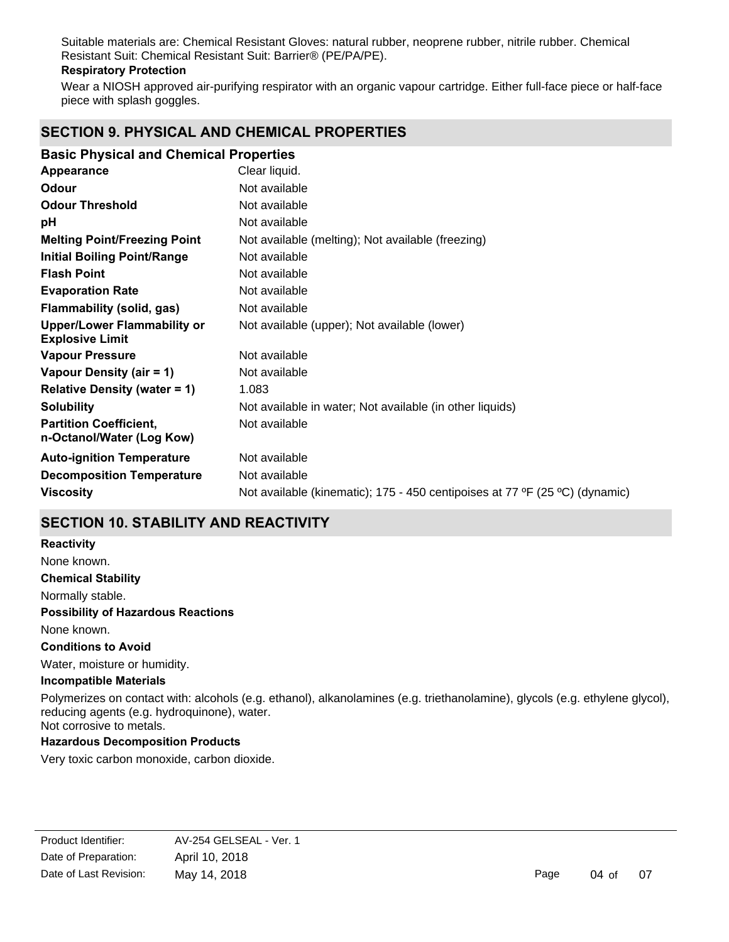Suitable materials are: Chemical Resistant Gloves: natural rubber, neoprene rubber, nitrile rubber. Chemical Resistant Suit: Chemical Resistant Suit: Barrier® (PE/PA/PE).

#### **Respiratory Protection**

Wear a NIOSH approved air-purifying respirator with an organic vapour cartridge. Either full-face piece or half-face piece with splash goggles.

## **SECTION 9. PHYSICAL AND CHEMICAL PROPERTIES**

| <b>Basic Physical and Chemical Properties</b>                |                                                                             |
|--------------------------------------------------------------|-----------------------------------------------------------------------------|
| Appearance                                                   | Clear liquid.                                                               |
| Odour                                                        | Not available                                                               |
| <b>Odour Threshold</b>                                       | Not available                                                               |
| рH                                                           | Not available                                                               |
| <b>Melting Point/Freezing Point</b>                          | Not available (melting); Not available (freezing)                           |
| <b>Initial Boiling Point/Range</b>                           | Not available                                                               |
| <b>Flash Point</b>                                           | Not available                                                               |
| <b>Evaporation Rate</b>                                      | Not available                                                               |
| Flammability (solid, gas)                                    | Not available                                                               |
| <b>Upper/Lower Flammability or</b><br><b>Explosive Limit</b> | Not available (upper); Not available (lower)                                |
| <b>Vapour Pressure</b>                                       | Not available                                                               |
| Vapour Density (air = 1)                                     | Not available                                                               |
| <b>Relative Density (water = 1)</b>                          | 1.083                                                                       |
| <b>Solubility</b>                                            | Not available in water; Not available (in other liquids)                    |
| <b>Partition Coefficient,</b><br>n-Octanol/Water (Log Kow)   | Not available                                                               |
| <b>Auto-ignition Temperature</b>                             | Not available                                                               |
| <b>Decomposition Temperature</b>                             | Not available                                                               |
| <b>Viscosity</b>                                             | Not available (kinematic); 175 - 450 centipoises at 77 °F (25 °C) (dynamic) |

## **SECTION 10. STABILITY AND REACTIVITY**

**Chemical Stability** Normally stable. **Conditions to Avoid** Water, moisture or humidity. **Incompatible Materials** Polymerizes on contact with: alcohols (e.g. ethanol), alkanolamines (e.g. triethanolamine), glycols (e.g. ethylene glycol), **Possibility of Hazardous Reactions** None known. **Reactivity** None known.

reducing agents (e.g. hydroquinone), water. Not corrosive to metals.

#### **Hazardous Decomposition Products**

Very toxic carbon monoxide, carbon dioxide.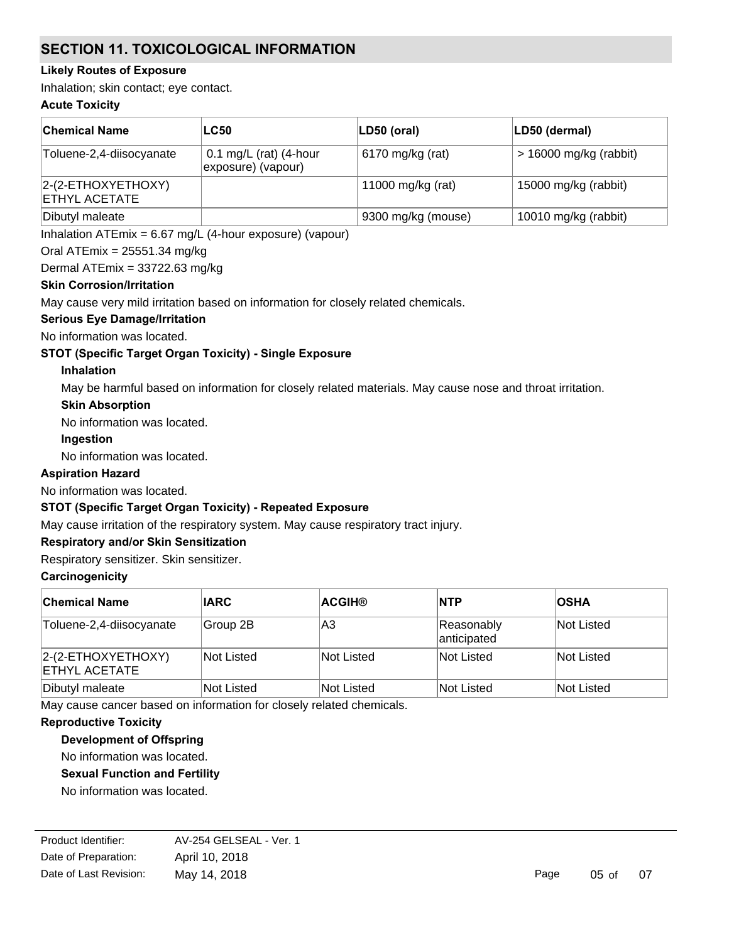## **SECTION 11. TOXICOLOGICAL INFORMATION**

#### **Likely Routes of Exposure**

Inhalation; skin contact; eye contact.

#### **Acute Toxicity**

| ∣Chemical Name                                | <b>LC50</b>                                  | LD50 (oral)        | LD50 (dermal)            |
|-----------------------------------------------|----------------------------------------------|--------------------|--------------------------|
| Toluene-2,4-diisocyanate                      | 0.1 mg/L (rat) (4-hour<br>exposure) (vapour) | 6170 mg/kg (rat)   | $> 16000$ mg/kg (rabbit) |
| $ 2-(2-ETHOXYETHOXY)$<br><b>ETHYL ACETATE</b> |                                              | 11000 mg/kg (rat)  | 15000 mg/kg (rabbit)     |
| Dibutyl maleate                               |                                              | 9300 mg/kg (mouse) | 10010 mg/kg (rabbit)     |

Inhalation ATEmix = 6.67 mg/L (4-hour exposure) (vapour)

#### Oral ATEmix = 25551.34 mg/kg

Dermal ATEmix = 33722.63 mg/kg

#### **Skin Corrosion/Irritation**

May cause very mild irritation based on information for closely related chemicals.

#### **Serious Eye Damage/Irritation**

No information was located.

#### **STOT (Specific Target Organ Toxicity) - Single Exposure**

#### **Inhalation**

May be harmful based on information for closely related materials. May cause nose and throat irritation.

#### **Skin Absorption**

No information was located.

#### **Ingestion**

No information was located.

#### **Aspiration Hazard**

No information was located.

## **STOT (Specific Target Organ Toxicity) - Repeated Exposure**

May cause irritation of the respiratory system. May cause respiratory tract injury.

#### **Respiratory and/or Skin Sensitization**

Respiratory sensitizer. Skin sensitizer.

#### **Carcinogenicity**

| <b>Chemical Name</b>                           | <b>IARC</b> | <b>ACGIH®</b>     | <b>NTP</b>                | <b>OSHA</b> |
|------------------------------------------------|-------------|-------------------|---------------------------|-------------|
| Toluene-2,4-diisocyanate                       | Group 2B    | lA3               | Reasonably<br>anticipated | Not Listed  |
| $ 2-(2-ETHOXYETHOXY) $<br><b>ETHYL ACETATE</b> | Not Listed  | Not Listed        | Not Listed                | Not Listed  |
| Dibutyl maleate                                | Not Listed  | <b>Not Listed</b> | Not Listed                | Not Listed  |

May cause cancer based on information for closely related chemicals.

#### **Reproductive Toxicity**

**Development of Offspring**

No information was located.

**Sexual Function and Fertility**

No information was located.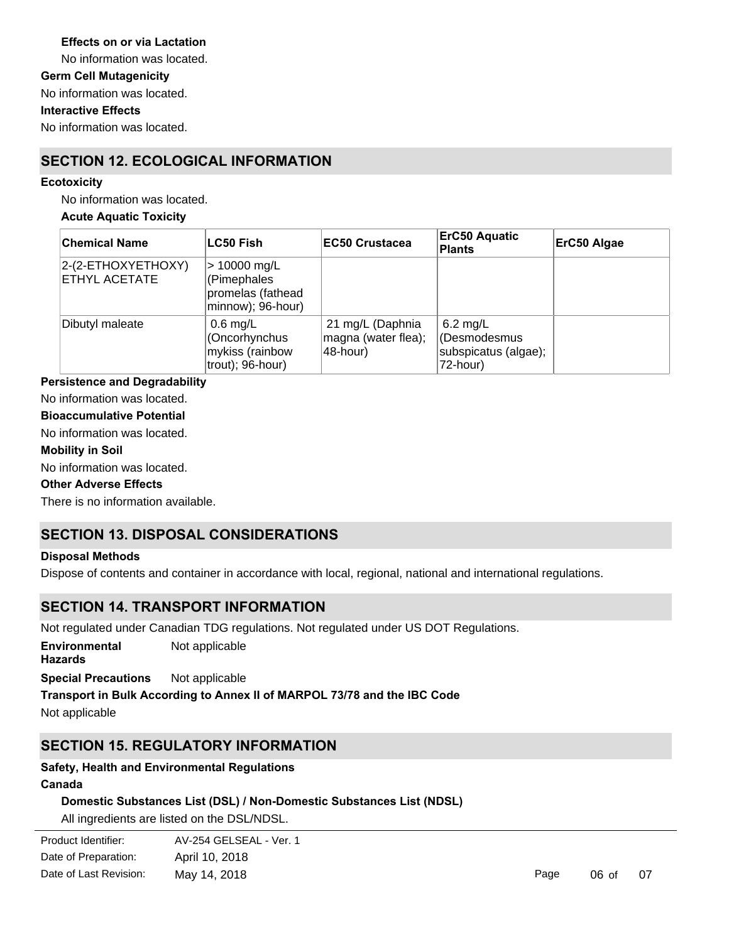#### **Effects on or via Lactation**

No information was located.

**Germ Cell Mutagenicity**

No information was located.

#### **Interactive Effects**

No information was located.

## **SECTION 12. ECOLOGICAL INFORMATION**

#### **Ecotoxicity**

No information was located.

#### **Acute Aquatic Toxicity**

| <b>Chemical Name</b>                | <b>LC50 Fish</b>                                                        | <b>EC50 Crustacea</b>                               | <b>ErC50 Aquatic</b><br><b>Plants</b>                          | ErC50 Algae |
|-------------------------------------|-------------------------------------------------------------------------|-----------------------------------------------------|----------------------------------------------------------------|-------------|
| 2-(2-ETHOXYETHOXY)<br>ETHYL ACETATE | $> 10000$ mg/L<br>(Pimephales<br>promelas (fathead<br>minnow); 96-hour) |                                                     |                                                                |             |
| Dibutyl maleate                     | $0.6$ mg/L<br>(Oncorhynchus<br>mykiss (rainbow<br>trout); 96-hour)      | 21 mg/L (Daphnia<br>magna (water flea);<br>48-hour) | $6.2$ mg/L<br>(Desmodesmus<br>subspicatus (algae);<br>72-hour) |             |

#### **Persistence and Degradability**

No information was located.

#### **Bioaccumulative Potential**

No information was located.

#### **Mobility in Soil**

No information was located.

#### **Other Adverse Effects**

There is no information available.

## **SECTION 13. DISPOSAL CONSIDERATIONS**

#### **Disposal Methods**

Dispose of contents and container in accordance with local, regional, national and international regulations.

## **SECTION 14. TRANSPORT INFORMATION**

Not regulated under Canadian TDG regulations. Not regulated under US DOT Regulations.

**Environmental Hazards** Not applicable

**Special Precautions** Not applicable

#### **Transport in Bulk According to Annex II of MARPOL 73/78 and the IBC Code**

Not applicable

## **SECTION 15. REGULATORY INFORMATION**

#### **Safety, Health and Environmental Regulations**

#### **Canada**

#### **Domestic Substances List (DSL) / Non-Domestic Substances List (NDSL)**

All ingredients are listed on the DSL/NDSL.

| Product Identifier:    | AV-254 GELSEAL - Ver. 1 |
|------------------------|-------------------------|
| Date of Preparation:   | April 10, 2018          |
| Date of Last Revision: | May 14, 2018            |